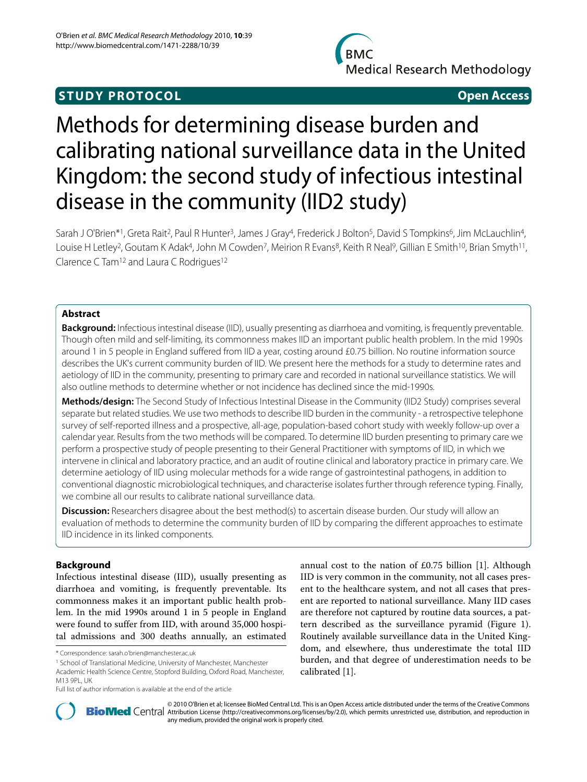## **STUDY PROTOCOL Open Access**



# Methods for determining disease burden and calibrating national surveillance data in the United Kingdom: the second study of infectious intestinal disease in the community (IID2 study)

Sarah J O'Brien\*1, Greta Rait<sup>2</sup>, Paul R Hunter<sup>3</sup>, James J Gray<sup>4</sup>, Frederick J Bolton<sup>5</sup>, David S Tompkins<sup>6</sup>, Jim McLauchlin<sup>4</sup>, Louise H Letley<sup>2</sup>, Goutam K Adak<sup>4</sup>, John M Cowden<sup>7</sup>, Meirion R Evans<sup>8</sup>, Keith R Neal<sup>9</sup>, Gillian E Smith<sup>10</sup>, Brian Smyth<sup>11</sup>, Clarence C Tam12 and Laura C Rodrigues12

## **Abstract**

**Background:** Infectious intestinal disease (IID), usually presenting as diarrhoea and vomiting, is frequently preventable. Though often mild and self-limiting, its commonness makes IID an important public health problem. In the mid 1990s around 1 in 5 people in England suffered from IID a year, costing around £0.75 billion. No routine information source describes the UK's current community burden of IID. We present here the methods for a study to determine rates and aetiology of IID in the community, presenting to primary care and recorded in national surveillance statistics. We will also outline methods to determine whether or not incidence has declined since the mid-1990s.

**Methods/design:** The Second Study of Infectious Intestinal Disease in the Community (IID2 Study) comprises several separate but related studies. We use two methods to describe IID burden in the community - a retrospective telephone survey of self-reported illness and a prospective, all-age, population-based cohort study with weekly follow-up over a calendar year. Results from the two methods will be compared. To determine IID burden presenting to primary care we perform a prospective study of people presenting to their General Practitioner with symptoms of IID, in which we intervene in clinical and laboratory practice, and an audit of routine clinical and laboratory practice in primary care. We determine aetiology of IID using molecular methods for a wide range of gastrointestinal pathogens, in addition to conventional diagnostic microbiological techniques, and characterise isolates further through reference typing. Finally, we combine all our results to calibrate national surveillance data.

**Discussion:** Researchers disagree about the best method(s) to ascertain disease burden. Our study will allow an evaluation of methods to determine the community burden of IID by comparing the different approaches to estimate IID incidence in its linked components.

## **Background**

Infectious intestinal disease (IID), usually presenting as diarrhoea and vomiting, is frequently preventable. Its commonness makes it an important public health problem. In the mid 1990s around 1 in 5 people in England were found to suffer from IID, with around 35,000 hospital admissions and 300 deaths annually, an estimated annual cost to the nation of £0.75 billion [[1\]](#page-11-0). Although IID is very common in the community, not all cases present to the healthcare system, and not all cases that present are reported to national surveillance. Many IID cases are therefore not captured by routine data sources, a pattern described as the surveillance pyramid (Figure [1](#page-1-0)). Routinely available surveillance data in the United Kingdom, and elsewhere, thus underestimate the total IID burden, and that degree of underestimation needs to be calibrated [[1\]](#page-11-0).



2010 O'Brien et al; licensee [BioMed](http://www.biomedcentral.com/) Central Ltd. This is an Open Access article distributed under the terms of the Creative Commons (http://creativecommons.org/licenses/by/2.0), which permits unrestricted use, distribution any medium, provided the original work is properly cited.

<sup>\*</sup> Correspondence: sarah.o'brien@manchester.ac.uk

<sup>1</sup> School of Translational Medicine, University of Manchester, Manchester Academic Health Science Centre, Stopford Building, Oxford Road, Manchester,  $M13$  QPL,  $IJK$ 

Full list of author information is available at the end of the article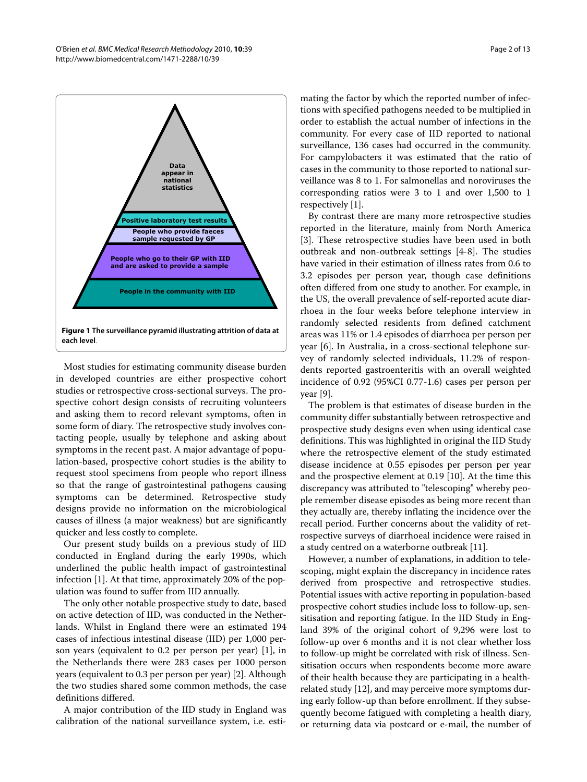

<span id="page-1-0"></span>

Most studies for estimating community disease burden in developed countries are either prospective cohort studies or retrospective cross-sectional surveys. The prospective cohort design consists of recruiting volunteers and asking them to record relevant symptoms, often in some form of diary. The retrospective study involves contacting people, usually by telephone and asking about symptoms in the recent past. A major advantage of population-based, prospective cohort studies is the ability to request stool specimens from people who report illness so that the range of gastrointestinal pathogens causing symptoms can be determined. Retrospective study designs provide no information on the microbiological causes of illness (a major weakness) but are significantly quicker and less costly to complete.

Our present study builds on a previous study of IID conducted in England during the early 1990s, which underlined the public health impact of gastrointestinal infection [[1\]](#page-11-0). At that time, approximately 20% of the population was found to suffer from IID annually.

The only other notable prospective study to date, based on active detection of IID, was conducted in the Netherlands. Whilst in England there were an estimated 194 cases of infectious intestinal disease (IID) per 1,000 person years (equivalent to 0.2 per person per year) [[1\]](#page-11-0), in the Netherlands there were 283 cases per 1000 person years (equivalent to 0.3 per person per year) [\[2](#page-11-1)]. Although the two studies shared some common methods, the case definitions differed.

A major contribution of the IID study in England was calibration of the national surveillance system, i.e. esti-

mating the factor by which the reported number of infections with specified pathogens needed to be multiplied in order to establish the actual number of infections in the community. For every case of IID reported to national surveillance, 136 cases had occurred in the community. For campylobacters it was estimated that the ratio of cases in the community to those reported to national surveillance was 8 to 1. For salmonellas and noroviruses the corresponding ratios were 3 to 1 and over 1,500 to 1 respectively [[1](#page-11-0)].

By contrast there are many more retrospective studies reported in the literature, mainly from North America [[3\]](#page-11-2). These retrospective studies have been used in both outbreak and non-outbreak settings [[4-](#page-11-3)[8](#page-11-4)]. The studies have varied in their estimation of illness rates from 0.6 to 3.2 episodes per person year, though case definitions often differed from one study to another. For example, in the US, the overall prevalence of self-reported acute diarrhoea in the four weeks before telephone interview in randomly selected residents from defined catchment areas was 11% or 1.4 episodes of diarrhoea per person per year [\[6](#page-11-5)]. In Australia, in a cross-sectional telephone survey of randomly selected individuals, 11.2% of respondents reported gastroenteritis with an overall weighted incidence of 0.92 (95%CI 0.77-1.6) cases per person per year [\[9](#page-11-6)].

The problem is that estimates of disease burden in the community differ substantially between retrospective and prospective study designs even when using identical case definitions. This was highlighted in original the IID Study where the retrospective element of the study estimated disease incidence at 0.55 episodes per person per year and the prospective element at 0.19 [\[10](#page-11-7)]. At the time this discrepancy was attributed to "telescoping" whereby people remember disease episodes as being more recent than they actually are, thereby inflating the incidence over the recall period. Further concerns about the validity of retrospective surveys of diarrhoeal incidence were raised in a study centred on a waterborne outbreak [[11\]](#page-11-8).

However, a number of explanations, in addition to telescoping, might explain the discrepancy in incidence rates derived from prospective and retrospective studies. Potential issues with active reporting in population-based prospective cohort studies include loss to follow-up, sensitisation and reporting fatigue. In the IID Study in England 39% of the original cohort of 9,296 were lost to follow-up over 6 months and it is not clear whether loss to follow-up might be correlated with risk of illness. Sensitisation occurs when respondents become more aware of their health because they are participating in a healthrelated study [\[12](#page-11-9)], and may perceive more symptoms during early follow-up than before enrollment. If they subsequently become fatigued with completing a health diary, or returning data via postcard or e-mail, the number of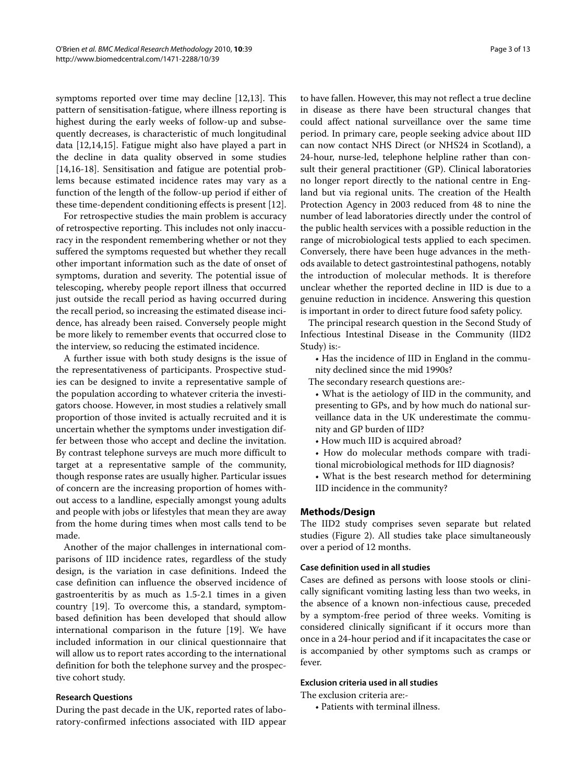symptoms reported over time may decline [\[12](#page-11-9),[13](#page-11-10)]. This pattern of sensitisation-fatigue, where illness reporting is highest during the early weeks of follow-up and subsequently decreases, is characteristic of much longitudinal data [[12](#page-11-9),[14](#page-12-0),[15\]](#page-12-1). Fatigue might also have played a part in the decline in data quality observed in some studies [[14,](#page-12-0)[16](#page-12-2)[-18](#page-12-3)]. Sensitisation and fatigue are potential problems because estimated incidence rates may vary as a function of the length of the follow-up period if either of these time-dependent conditioning effects is present [\[12](#page-11-9)].

For retrospective studies the main problem is accuracy of retrospective reporting. This includes not only inaccuracy in the respondent remembering whether or not they suffered the symptoms requested but whether they recall other important information such as the date of onset of symptoms, duration and severity. The potential issue of telescoping, whereby people report illness that occurred just outside the recall period as having occurred during the recall period, so increasing the estimated disease incidence, has already been raised. Conversely people might be more likely to remember events that occurred close to the interview, so reducing the estimated incidence.

A further issue with both study designs is the issue of the representativeness of participants. Prospective studies can be designed to invite a representative sample of the population according to whatever criteria the investigators choose. However, in most studies a relatively small proportion of those invited is actually recruited and it is uncertain whether the symptoms under investigation differ between those who accept and decline the invitation. By contrast telephone surveys are much more difficult to target at a representative sample of the community, though response rates are usually higher. Particular issues of concern are the increasing proportion of homes without access to a landline, especially amongst young adults and people with jobs or lifestyles that mean they are away from the home during times when most calls tend to be made.

Another of the major challenges in international comparisons of IID incidence rates, regardless of the study design, is the variation in case definitions. Indeed the case definition can influence the observed incidence of gastroenteritis by as much as 1.5-2.1 times in a given country [\[19](#page-12-4)]. To overcome this, a standard, symptombased definition has been developed that should allow international comparison in the future [[19](#page-12-4)]. We have included information in our clinical questionnaire that will allow us to report rates according to the international definition for both the telephone survey and the prospective cohort study.

#### **Research Questions**

During the past decade in the UK, reported rates of laboratory-confirmed infections associated with IID appear to have fallen. However, this may not reflect a true decline in disease as there have been structural changes that could affect national surveillance over the same time period. In primary care, people seeking advice about IID can now contact NHS Direct (or NHS24 in Scotland), a 24-hour, nurse-led, telephone helpline rather than consult their general practitioner (GP). Clinical laboratories no longer report directly to the national centre in England but via regional units. The creation of the Health Protection Agency in 2003 reduced from 48 to nine the number of lead laboratories directly under the control of the public health services with a possible reduction in the range of microbiological tests applied to each specimen. Conversely, there have been huge advances in the methods available to detect gastrointestinal pathogens, notably the introduction of molecular methods. It is therefore unclear whether the reported decline in IID is due to a genuine reduction in incidence. Answering this question is important in order to direct future food safety policy.

The principal research question in the Second Study of Infectious Intestinal Disease in the Community (IID2 Study) is:-

• Has the incidence of IID in England in the community declined since the mid 1990s?

The secondary research questions are:-

- What is the aetiology of IID in the community, and presenting to GPs, and by how much do national surveillance data in the UK underestimate the community and GP burden of IID?
- How much IID is acquired abroad?
- How do molecular methods compare with traditional microbiological methods for IID diagnosis?
- What is the best research method for determining IID incidence in the community?

#### **Methods/Design**

The IID2 study comprises seven separate but related studies (Figure [2\)](#page-3-0). All studies take place simultaneously over a period of 12 months.

#### **Case definition used in all studies**

Cases are defined as persons with loose stools or clinically significant vomiting lasting less than two weeks, in the absence of a known non-infectious cause, preceded by a symptom-free period of three weeks. Vomiting is considered clinically significant if it occurs more than once in a 24-hour period and if it incapacitates the case or is accompanied by other symptoms such as cramps or fever.

## **Exclusion criteria used in all studies**

The exclusion criteria are:-

• Patients with terminal illness.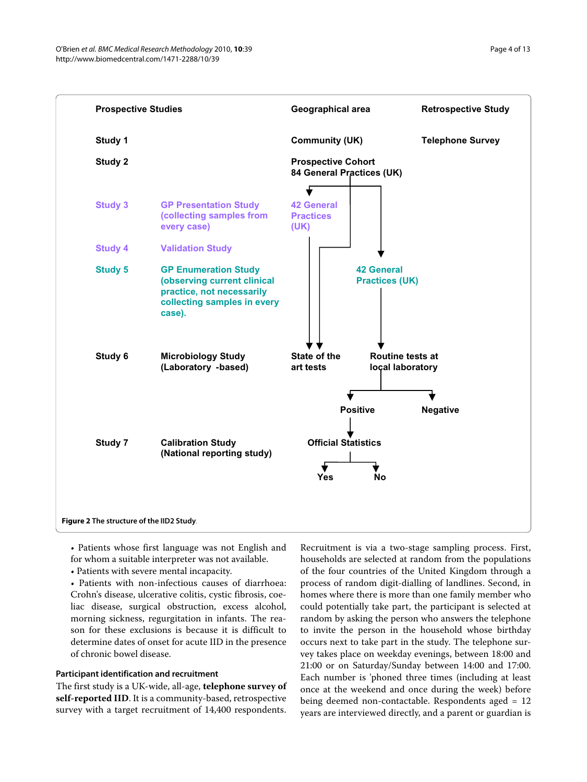<span id="page-3-0"></span>

• Patients whose first language was not English and for whom a suitable interpreter was not available.

• Patients with severe mental incapacity.

• Patients with non-infectious causes of diarrhoea: Crohn's disease, ulcerative colitis, cystic fibrosis, coeliac disease, surgical obstruction, excess alcohol, morning sickness, regurgitation in infants. The reason for these exclusions is because it is difficult to determine dates of onset for acute IID in the presence of chronic bowel disease.

## **Participant identification and recruitment**

The first study is a UK-wide, all-age, **telephone survey of self-reported IID**. It is a community-based, retrospective survey with a target recruitment of 14,400 respondents.

Recruitment is via a two-stage sampling process. First, households are selected at random from the populations of the four countries of the United Kingdom through a process of random digit-dialling of landlines. Second, in homes where there is more than one family member who could potentially take part, the participant is selected at random by asking the person who answers the telephone to invite the person in the household whose birthday occurs next to take part in the study. The telephone survey takes place on weekday evenings, between 18:00 and 21:00 or on Saturday/Sunday between 14:00 and 17:00. Each number is 'phoned three times (including at least once at the weekend and once during the week) before being deemed non-contactable. Respondents aged = 12 years are interviewed directly, and a parent or guardian is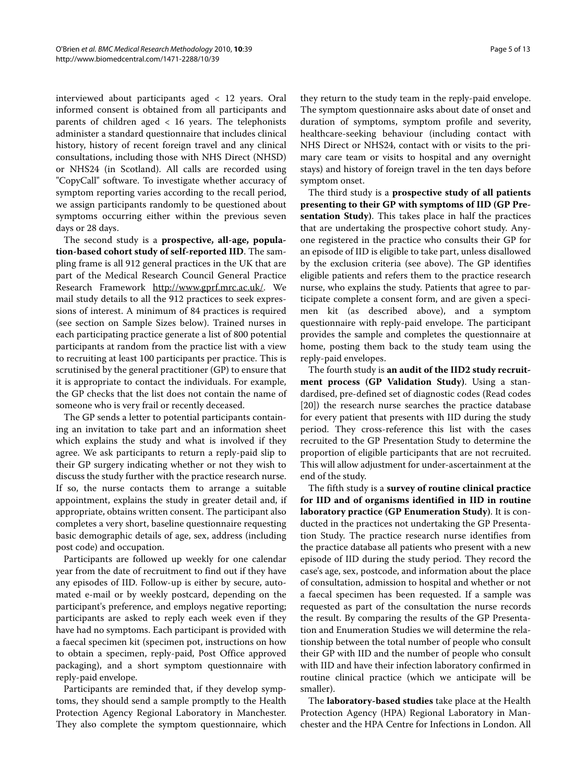interviewed about participants aged < 12 years. Oral informed consent is obtained from all participants and parents of children aged  $\langle 16 \rangle$  years. The telephonists administer a standard questionnaire that includes clinical history, history of recent foreign travel and any clinical consultations, including those with NHS Direct (NHSD) or NHS24 (in Scotland). All calls are recorded using "CopyCall" software. To investigate whether accuracy of symptom reporting varies according to the recall period, we assign participants randomly to be questioned about symptoms occurring either within the previous seven days or 28 days.

The second study is a **prospective, all-age, population-based cohort study of self-reported IID**. The sampling frame is all 912 general practices in the UK that are part of the Medical Research Council General Practice Research Framework <http://www.gprf.mrc.ac.uk/>. We mail study details to all the 912 practices to seek expressions of interest. A minimum of 84 practices is required (see section on Sample Sizes below). Trained nurses in each participating practice generate a list of 800 potential participants at random from the practice list with a view to recruiting at least 100 participants per practice. This is scrutinised by the general practitioner (GP) to ensure that it is appropriate to contact the individuals. For example, the GP checks that the list does not contain the name of someone who is very frail or recently deceased.

The GP sends a letter to potential participants containing an invitation to take part and an information sheet which explains the study and what is involved if they agree. We ask participants to return a reply-paid slip to their GP surgery indicating whether or not they wish to discuss the study further with the practice research nurse. If so, the nurse contacts them to arrange a suitable appointment, explains the study in greater detail and, if appropriate, obtains written consent. The participant also completes a very short, baseline questionnaire requesting basic demographic details of age, sex, address (including post code) and occupation.

Participants are followed up weekly for one calendar year from the date of recruitment to find out if they have any episodes of IID. Follow-up is either by secure, automated e-mail or by weekly postcard, depending on the participant's preference, and employs negative reporting; participants are asked to reply each week even if they have had no symptoms. Each participant is provided with a faecal specimen kit (specimen pot, instructions on how to obtain a specimen, reply-paid, Post Office approved packaging), and a short symptom questionnaire with reply-paid envelope.

Participants are reminded that, if they develop symptoms, they should send a sample promptly to the Health Protection Agency Regional Laboratory in Manchester. They also complete the symptom questionnaire, which

they return to the study team in the reply-paid envelope. The symptom questionnaire asks about date of onset and duration of symptoms, symptom profile and severity, healthcare-seeking behaviour (including contact with NHS Direct or NHS24, contact with or visits to the primary care team or visits to hospital and any overnight stays) and history of foreign travel in the ten days before symptom onset.

The third study is a **prospective study of all patients presenting to their GP with symptoms of IID (GP Presentation Study)**. This takes place in half the practices that are undertaking the prospective cohort study. Anyone registered in the practice who consults their GP for an episode of IID is eligible to take part, unless disallowed by the exclusion criteria (see above). The GP identifies eligible patients and refers them to the practice research nurse, who explains the study. Patients that agree to participate complete a consent form, and are given a specimen kit (as described above), and a symptom questionnaire with reply-paid envelope. The participant provides the sample and completes the questionnaire at home, posting them back to the study team using the reply-paid envelopes.

The fourth study is **an audit of the IID2 study recruitment process (GP Validation Study)**. Using a standardised, pre-defined set of diagnostic codes (Read codes [[20\]](#page-12-5)) the research nurse searches the practice database for every patient that presents with IID during the study period. They cross-reference this list with the cases recruited to the GP Presentation Study to determine the proportion of eligible participants that are not recruited. This will allow adjustment for under-ascertainment at the end of the study.

The fifth study is a **survey of routine clinical practice for IID and of organisms identified in IID in routine laboratory practice (GP Enumeration Study)**. It is conducted in the practices not undertaking the GP Presentation Study. The practice research nurse identifies from the practice database all patients who present with a new episode of IID during the study period. They record the case's age, sex, postcode, and information about the place of consultation, admission to hospital and whether or not a faecal specimen has been requested. If a sample was requested as part of the consultation the nurse records the result. By comparing the results of the GP Presentation and Enumeration Studies we will determine the relationship between the total number of people who consult their GP with IID and the number of people who consult with IID and have their infection laboratory confirmed in routine clinical practice (which we anticipate will be smaller).

The **laboratory-based studies** take place at the Health Protection Agency (HPA) Regional Laboratory in Manchester and the HPA Centre for Infections in London. All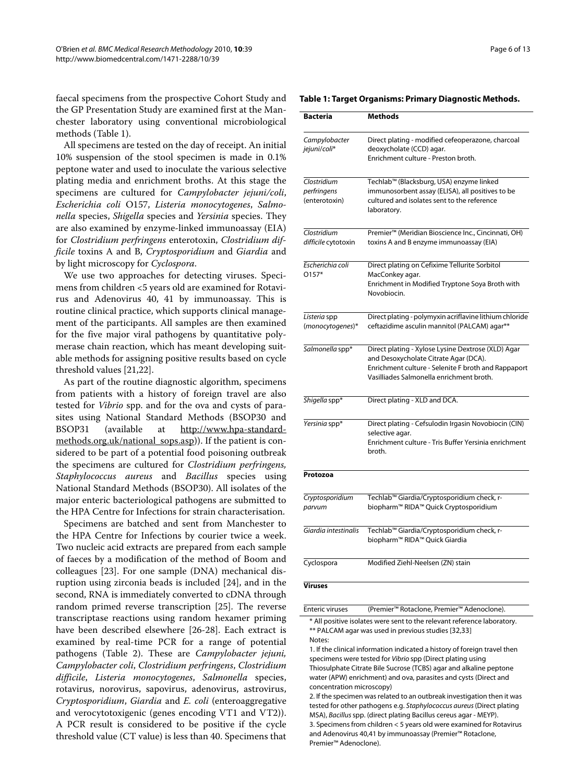faecal specimens from the prospective Cohort Study and the GP Presentation Study are examined first at the Manchester laboratory using conventional microbiological methods (Table 1).

All specimens are tested on the day of receipt. An initial 10% suspension of the stool specimen is made in 0.1% peptone water and used to inoculate the various selective plating media and enrichment broths. At this stage the specimens are cultured for *Campylobacter jejuni/coli*, *Escherichia coli* O157, *Listeria monocytogenes*, *Salmonella* species, *Shigella* species and *Yersinia* species. They are also examined by enzyme-linked immunoassay (EIA) for *Clostridium perfringens* enterotoxin, *Clostridium difficile* toxins A and B, *Cryptosporidium* and *Giardia* and by light microscopy for *Cyclospora*.

We use two approaches for detecting viruses. Specimens from children <5 years old are examined for Rotavirus and Adenovirus 40, 41 by immunoassay. This is routine clinical practice, which supports clinical management of the participants. All samples are then examined for the five major viral pathogens by quantitative polymerase chain reaction, which has meant developing suitable methods for assigning positive results based on cycle threshold values [[21,](#page-12-8)[22\]](#page-12-9).

As part of the routine diagnostic algorithm, specimens from patients with a history of foreign travel are also tested for *Vibrio* spp. and for the ova and cysts of parasites using National Standard Methods (BSOP30 and BSOP31 (available at [http://www.hpa-standard](http://www.hpa-standardmethods.org.uk/national_sops.asp)[methods.org.uk/national\\_sops.asp\)](http://www.hpa-standardmethods.org.uk/national_sops.asp)). If the patient is considered to be part of a potential food poisoning outbreak the specimens are cultured for *Clostridium perfringens, Staphylococcus aureus* and *Bacillus* species using National Standard Methods (BSOP30). All isolates of the major enteric bacteriological pathogens are submitted to the HPA Centre for Infections for strain characterisation.

Specimens are batched and sent from Manchester to the HPA Centre for Infections by courier twice a week. Two nucleic acid extracts are prepared from each sample of faeces by a modification of the method of Boom and colleagues [[23](#page-12-10)]. For one sample (DNA) mechanical disruption using zirconia beads is included [[24](#page-12-11)], and in the second, RNA is immediately converted to cDNA through random primed reverse transcription [\[25](#page-12-12)]. The reverse transcriptase reactions using random hexamer priming have been described elsewhere [[26-](#page-12-13)[28](#page-12-14)]. Each extract is examined by real-time PCR for a range of potential pathogens (Table 2). These are *Campylobacter jejuni, Campylobacter coli*, *Clostridium perfringens*, *Clostridium difficile*, *Listeria monocytogenes*, *Salmonella* species, rotavirus, norovirus, sapovirus, adenovirus, astrovirus, *Cryptosporidium*, *Giardia* and *E. coli* (enteroaggregative and verocytotoxigenic (genes encoding VT1 and VT2)). A PCR result is considered to be positive if the cycle threshold value (CT value) is less than 40. Specimens that

#### **Table 1: Target Organisms: Primary Diagnostic Methods.**

| <b>Bacteria</b>               | <b>Methods</b>                                                                                                       |  |  |  |  |
|-------------------------------|----------------------------------------------------------------------------------------------------------------------|--|--|--|--|
| Campylobacter<br>jejuni/coli* | Direct plating - modified cefeoperazone, charcoal<br>deoxycholate (CCD) agar.<br>Enrichment culture - Preston broth. |  |  |  |  |
|                               |                                                                                                                      |  |  |  |  |
| Clostridium                   | Techlab™ (Blacksburg, USA) enzyme linked                                                                             |  |  |  |  |
| perfringens<br>(enterotoxin)  | immunosorbent assay (ELISA), all positives to be<br>cultured and isolates sent to the reference                      |  |  |  |  |
|                               | laboratory.                                                                                                          |  |  |  |  |
| Clostridium                   | Premier <sup>™</sup> (Meridian Bioscience Inc., Cincinnati, OH)                                                      |  |  |  |  |
| difficile cytotoxin           | toxins A and B enzyme immunoassay (EIA)                                                                              |  |  |  |  |
| Escherichia coli              | Direct plating on Cefixime Tellurite Sorbitol                                                                        |  |  |  |  |
| $0157*$                       | MacConkey agar.                                                                                                      |  |  |  |  |
|                               | Enrichment in Modified Tryptone Soya Broth with<br>Novobiocin.                                                       |  |  |  |  |
| Listeria spp                  | Direct plating - polymyxin acriflavine lithium chloride                                                              |  |  |  |  |
| (monocytogenes)*              | ceftazidime asculin mannitol (PALCAM) agar**                                                                         |  |  |  |  |
| Salmonella spp*               | Direct plating - Xylose Lysine Dextrose (XLD) Agar                                                                   |  |  |  |  |
|                               | and Desoxycholate Citrate Agar (DCA).                                                                                |  |  |  |  |
|                               | Enrichment culture - Selenite F broth and Rappaport<br>Vasilliades Salmonella enrichment broth.                      |  |  |  |  |
| Shigella spp*                 | Direct plating - XLD and DCA.                                                                                        |  |  |  |  |
| Yersinia spp*                 | Direct plating - Cefsulodin Irgasin Novobiocin (CIN)<br>selective agar.                                              |  |  |  |  |
|                               | Enrichment culture - Tris Buffer Yersinia enrichment<br>broth.                                                       |  |  |  |  |
| Protozoa                      |                                                                                                                      |  |  |  |  |
| Cryptosporidium               | Techlab <sup>™</sup> Giardia/Cryptosporidium check, r-                                                               |  |  |  |  |
| parvum                        | biopharm™ RIDA™ Quick Cryptosporidium                                                                                |  |  |  |  |
| Giardia intestinalis          | Techlab™ Giardia/Cryptosporidium check, r-                                                                           |  |  |  |  |
|                               | biopharm™ RIDA™ Quick Giardia                                                                                        |  |  |  |  |
| Cyclospora                    | Modified Ziehl-Neelsen (ZN) stain                                                                                    |  |  |  |  |
| <b>Viruses</b>                |                                                                                                                      |  |  |  |  |
| <b>Enteric viruses</b>        | (Premier™ Rotaclone, Premier™ Adenoclone).                                                                           |  |  |  |  |
|                               | * All positive isolates were sent to the relevant reference laboratory.                                              |  |  |  |  |

Notes:

1. If the clinical information indicated a history of foreign travel then specimens were tested for Vibrio spp (Direct plating using Thiosulphate Citrate Bile Sucrose (TCBS) agar and alkaline peptone water (APW) enrichment) and ova, parasites and cysts (Direct and concentration microscopy)

2. If the specimen was related to an outbreak investigation then it was tested for other pathogens e.g. Staphylococcus aureus (Direct plating MSA), Bacillus spp. (direct plating Bacillus cereus agar - MEYP). 3. Specimens from children < 5 years old were examined for Rotavirus and Adenovirus 40,41 by immunoassay (Premier™ Rotaclone, Premier™ Adenoclone).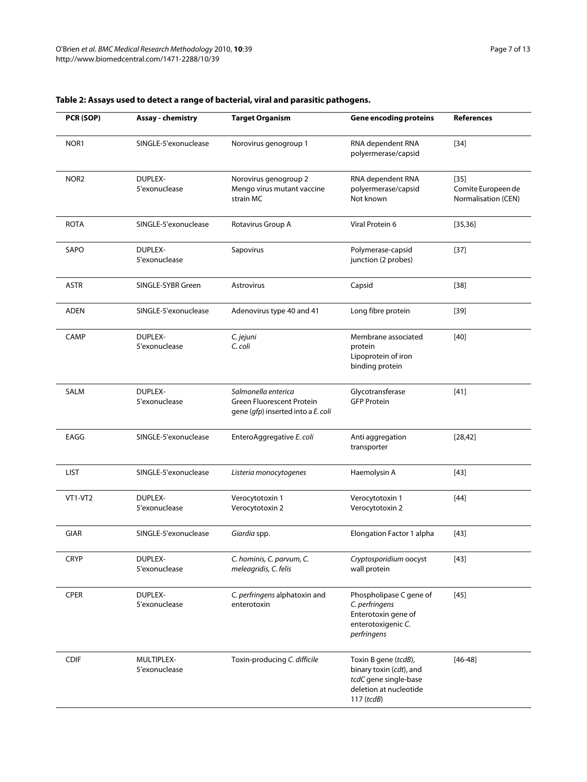| PCR (SOP)        | Assay - chemistry               | <b>Target Organism</b>                                                                 | <b>Gene encoding proteins</b>                                                                                      | <b>References</b>                                   |  |
|------------------|---------------------------------|----------------------------------------------------------------------------------------|--------------------------------------------------------------------------------------------------------------------|-----------------------------------------------------|--|
| NOR1             | SINGLE-5'exonuclease            | Norovirus genogroup 1                                                                  | RNA dependent RNA<br>polyermerase/capsid                                                                           | $[34]$                                              |  |
| NOR <sub>2</sub> | <b>DUPLEX-</b><br>5'exonuclease | Norovirus genogroup 2<br>Mengo virus mutant vaccine<br>strain MC                       | RNA dependent RNA<br>polyermerase/capsid<br>Not known                                                              | $[35]$<br>Comite Europeen de<br>Normalisation (CEN) |  |
| <b>ROTA</b>      | SINGLE-5'exonuclease            | Rotavirus Group A                                                                      | Viral Protein 6                                                                                                    | [35, 36]                                            |  |
| SAPO             | <b>DUPLEX-</b><br>5'exonuclease | Sapovirus                                                                              | Polymerase-capsid<br>junction (2 probes)                                                                           | $[37]$                                              |  |
| <b>ASTR</b>      | SINGLE-SYBR Green               | Astrovirus                                                                             | Capsid                                                                                                             | $[38]$                                              |  |
| <b>ADEN</b>      | SINGLE-5'exonuclease            | Adenovirus type 40 and 41                                                              | Long fibre protein                                                                                                 | $[39]$                                              |  |
| CAMP             | <b>DUPLEX-</b><br>5'exonuclease | C. jejuni<br>C. coli                                                                   | Membrane associated<br>protein<br>Lipoprotein of iron<br>binding protein                                           | $[40]$                                              |  |
| <b>SALM</b>      | <b>DUPLEX-</b><br>5'exonuclease | Salmonella enterica<br>Green Fluorescent Protein<br>gene (gfp) inserted into a E. coli | Glycotransferase<br><b>GFP Protein</b>                                                                             | $[41]$                                              |  |
| EAGG             | SINGLE-5'exonuclease            | EnteroAggregative E. coli                                                              | Anti aggregation<br>transporter                                                                                    | [28, 42]                                            |  |
| LIST             | SINGLE-5'exonuclease            | Listeria monocytogenes                                                                 | Haemolysin A                                                                                                       | $[43]$                                              |  |
| VT1-VT2          | <b>DUPLEX-</b><br>5'exonuclease | Verocytotoxin 1<br>Verocytotoxin 1<br>Verocytotoxin 2<br>Verocytotoxin 2               |                                                                                                                    | $[44]$                                              |  |
| GIAR             | SINGLE-5'exonuclease            | Giardia spp.                                                                           | Elongation Factor 1 alpha                                                                                          | $[43]$                                              |  |
| <b>CRYP</b>      | <b>DUPLEX-</b><br>5'exonuclease | C. hominis, C. parvum, C.<br>meleagridis, C. felis                                     | Cryptosporidium oocyst<br>wall protein                                                                             | $[43]$                                              |  |
| CPER             | <b>DUPLEX-</b><br>5'exonuclease | C. perfringens alphatoxin and<br>enterotoxin                                           | Phospholipase C gene of<br>C. perfringens<br>Enterotoxin gene of<br>enterotoxigenic C.<br>perfringens              | $[45]$                                              |  |
| CDIF             | MULTIPLEX-<br>5'exonuclease     | Toxin-producing C. difficile                                                           | Toxin B gene (tcdB),<br>binary toxin (cdt), and<br>tcdC gene single-base<br>deletion at nucleotide<br>$117$ (tcdB) | $[46 - 48]$                                         |  |

## **Table 2: Assays used to detect a range of bacterial, viral and parasitic pathogens.**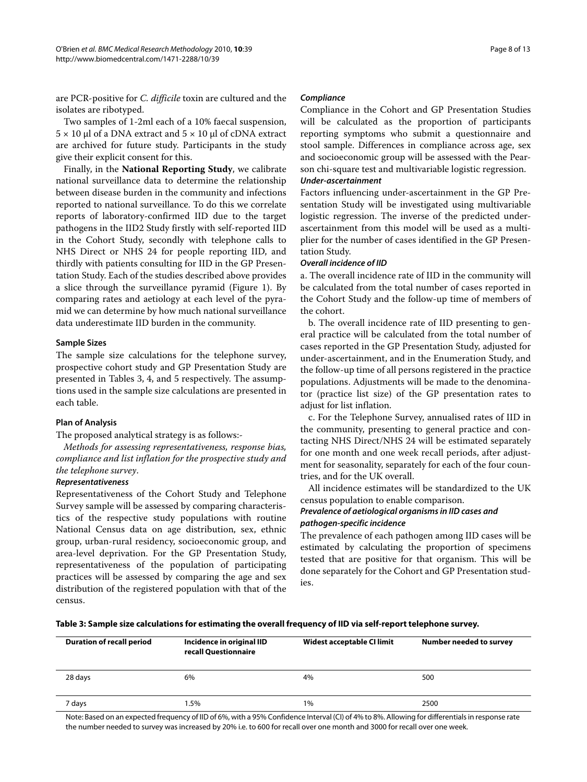are PCR-positive for *C. difficile* toxin are cultured and the isolates are ribotyped.

Two samples of 1-2ml each of a 10% faecal suspension,  $5 \times 10$  μl of a DNA extract and  $5 \times 10$  μl of cDNA extract are archived for future study. Participants in the study give their explicit consent for this.

Finally, in the **National Reporting Study**, we calibrate national surveillance data to determine the relationship between disease burden in the community and infections reported to national surveillance. To do this we correlate reports of laboratory-confirmed IID due to the target pathogens in the IID2 Study firstly with self-reported IID in the Cohort Study, secondly with telephone calls to NHS Direct or NHS 24 for people reporting IID, and thirdly with patients consulting for IID in the GP Presentation Study. Each of the studies described above provides a slice through the surveillance pyramid (Figure [1\)](#page-1-0). By comparing rates and aetiology at each level of the pyramid we can determine by how much national surveillance data underestimate IID burden in the community.

#### **Sample Sizes**

The sample size calculations for the telephone survey, prospective cohort study and GP Presentation Study are presented in Tables 3, 4, and 5 respectively. The assumptions used in the sample size calculations are presented in each table.

#### **Plan of Analysis**

The proposed analytical strategy is as follows:-

*Methods for assessing representativeness, response bias, compliance and list inflation for the prospective study and the telephone survey*.

## **Representativeness**

Representativeness of the Cohort Study and Telephone Survey sample will be assessed by comparing characteristics of the respective study populations with routine National Census data on age distribution, sex, ethnic group, urban-rural residency, socioeconomic group, and area-level deprivation. For the GP Presentation Study, representativeness of the population of participating practices will be assessed by comparing the age and sex distribution of the registered population with that of the census.

#### **Compliance**

Compliance in the Cohort and GP Presentation Studies will be calculated as the proportion of participants reporting symptoms who submit a questionnaire and stool sample. Differences in compliance across age, sex and socioeconomic group will be assessed with the Pearson chi-square test and multivariable logistic regression. **Under-ascertainment**

Factors influencing under-ascertainment in the GP Presentation Study will be investigated using multivariable logistic regression. The inverse of the predicted underascertainment from this model will be used as a multiplier for the number of cases identified in the GP Presentation Study.

#### **Overall incidence of IID**

a. The overall incidence rate of IID in the community will be calculated from the total number of cases reported in the Cohort Study and the follow-up time of members of the cohort.

b. The overall incidence rate of IID presenting to general practice will be calculated from the total number of cases reported in the GP Presentation Study, adjusted for under-ascertainment, and in the Enumeration Study, and the follow-up time of all persons registered in the practice populations. Adjustments will be made to the denominator (practice list size) of the GP presentation rates to adjust for list inflation.

c. For the Telephone Survey, annualised rates of IID in the community, presenting to general practice and contacting NHS Direct/NHS 24 will be estimated separately for one month and one week recall periods, after adjustment for seasonality, separately for each of the four countries, and for the UK overall.

All incidence estimates will be standardized to the UK census population to enable comparison.

## **Prevalence of aetiological organisms in IID cases and pathogen-specific incidence**

The prevalence of each pathogen among IID cases will be estimated by calculating the proportion of specimens tested that are positive for that organism. This will be done separately for the Cohort and GP Presentation studies.

**Table 3: Sample size calculations for estimating the overall frequency of IID via self-report telephone survey.**

| <b>Duration of recall period</b> | Incidence in original IID<br>recall Questionnaire | Widest acceptable CI limit | <b>Number needed to survey</b> |
|----------------------------------|---------------------------------------------------|----------------------------|--------------------------------|
| 28 days                          | 6%                                                | 4%                         | 500                            |
| 7 days                           | .5%                                               | 1%                         | 2500                           |

Note: Based on an expected frequency of IID of 6%, with a 95% Confidence Interval (CI) of 4% to 8%. Allowing for differentials in response rate the number needed to survey was increased by 20% i.e. to 600 for recall over one month and 3000 for recall over one week.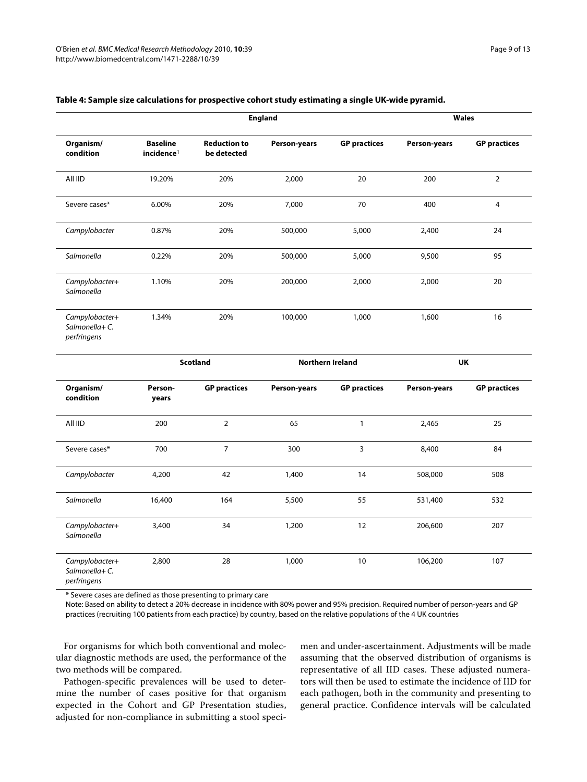| Organism/<br>condition                         | <b>England</b>                            |                                    |              |                     | <b>Wales</b> |                     |
|------------------------------------------------|-------------------------------------------|------------------------------------|--------------|---------------------|--------------|---------------------|
|                                                | <b>Baseline</b><br>incidence <sup>1</sup> | <b>Reduction to</b><br>be detected | Person-years | <b>GP practices</b> | Person-years | <b>GP practices</b> |
| All IID                                        | 19.20%                                    | 20%                                | 2,000        | 20                  | 200          | $\overline{2}$      |
| Severe cases*                                  | 6.00%                                     | 20%                                | 7,000        | 70                  | 400          | $\overline{4}$      |
| Campylobacter                                  | 0.87%                                     | 20%                                | 500,000      | 5,000               | 2,400        | 24                  |
| Salmonella                                     | 0.22%                                     | 20%                                | 500,000      | 5,000               | 9,500        | 95                  |
| Campylobacter+<br>Salmonella                   | 1.10%                                     | 20%                                | 200,000      | 2,000               | 2,000        | 20                  |
| Campylobacter+<br>Salmonella+C.<br>perfringens | 1.34%                                     | 20%                                | 100,000      | 1,000               | 1,600        | 16                  |

## **Table 4: Sample size calculations for prospective cohort study estimating a single UK-wide pyramid.**

| Organism/<br>condition                         | <b>Scotland</b>  |                     | <b>Northern Ireland</b> |                     | UK           |                     |
|------------------------------------------------|------------------|---------------------|-------------------------|---------------------|--------------|---------------------|
|                                                | Person-<br>years | <b>GP practices</b> | Person-years            | <b>GP practices</b> | Person-years | <b>GP practices</b> |
| All IID                                        | 200              | $\overline{2}$      | 65                      | $\mathbf{1}$        | 2,465        | 25                  |
| Severe cases*                                  | 700              | $\overline{7}$      | 300                     | 3                   | 8,400        | 84                  |
| Campylobacter                                  | 4,200            | 42                  | 1,400                   | 14                  | 508,000      | 508                 |
| Salmonella                                     | 16,400           | 164                 | 5,500                   | 55                  | 531,400      | 532                 |
| Campylobacter+<br>Salmonella                   | 3,400            | 34                  | 1,200                   | 12                  | 206,600      | 207                 |
| Campylobacter+<br>Salmonella+C.<br>perfringens | 2,800            | 28                  | 1,000                   | 10                  | 106,200      | 107                 |

\* Severe cases are defined as those presenting to primary care

Note: Based on ability to detect a 20% decrease in incidence with 80% power and 95% precision. Required number of person-years and GP practices (recruiting 100 patients from each practice) by country, based on the relative populations of the 4 UK countries

For organisms for which both conventional and molecular diagnostic methods are used, the performance of the two methods will be compared.

Pathogen-specific prevalences will be used to determine the number of cases positive for that organism expected in the Cohort and GP Presentation studies, adjusted for non-compliance in submitting a stool specimen and under-ascertainment. Adjustments will be made assuming that the observed distribution of organisms is representative of all IID cases. These adjusted numerators will then be used to estimate the incidence of IID for each pathogen, both in the community and presenting to general practice. Confidence intervals will be calculated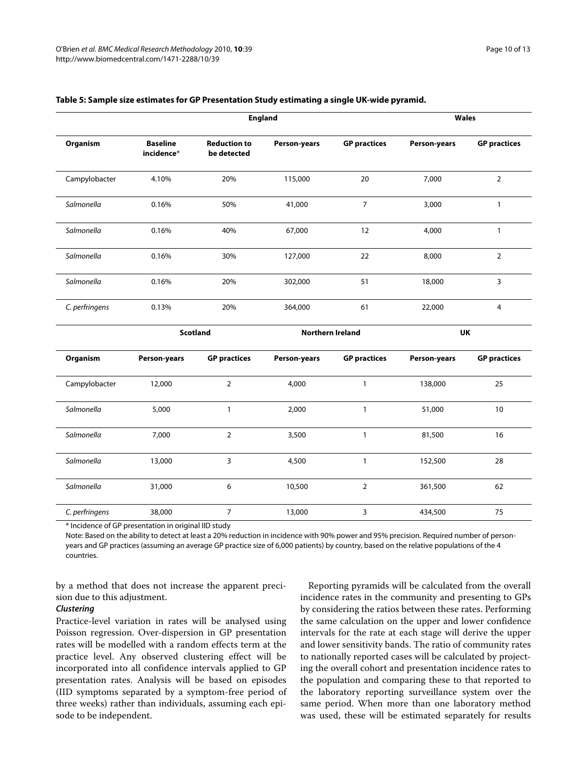|                | <b>England</b>                      |                                    |                         |                     | <b>Wales</b>        |                     |
|----------------|-------------------------------------|------------------------------------|-------------------------|---------------------|---------------------|---------------------|
| Organism       | <b>Baseline</b><br>incidence*       | <b>Reduction to</b><br>be detected | Person-years            | <b>GP practices</b> | Person-years        | <b>GP practices</b> |
| Campylobacter  | 4.10%                               | 20%                                | 115,000                 | 20                  | 7,000               | $\overline{2}$      |
| Salmonella     | 0.16%                               | 50%                                | 41,000                  | $\overline{7}$      | 3,000               | $\mathbf{1}$        |
| Salmonella     | 0.16%                               | 40%                                | 67,000                  | 12                  | 4,000               | $\mathbf{1}$        |
| Salmonella     | 0.16%                               | 30%                                | 127,000                 | 22                  | 8,000               | $\overline{2}$      |
| Salmonella     | 0.16%                               | 20%                                | 302,000                 | 51                  | 18,000              | 3                   |
| C. perfringens | 0.13%                               | 20%                                | 364,000                 | 61                  | 22,000              | $\overline{4}$      |
|                | <b>Scotland</b>                     |                                    | <b>Northern Ireland</b> |                     | UK                  |                     |
| Organism       | Person-years<br><b>GP</b> practices |                                    | <b>Person-years</b>     | <b>GP</b> practices | <b>Person-years</b> | <b>GP</b> practices |
| Campylobacter  | 12,000                              | $\overline{2}$                     | 4,000                   | $\mathbf{1}$        | 138,000             | 25                  |
| Salmonella     | 5,000                               | 1                                  | 2,000                   | $\mathbf{1}$        | 51,000              | 10                  |
| Salmonella     | 7,000                               | $\overline{2}$                     | 3,500                   | $\mathbf{1}$        | 81,500              | 16                  |
| Salmonella     | 13,000                              | 3                                  | 4,500                   | $\mathbf{1}$        | 152,500             | 28                  |
| Salmonella     | 31,000                              | 6                                  | 10,500                  | $\overline{2}$      | 361,500             | 62                  |
| C. perfringens | 38,000                              | $\overline{7}$                     | 13,000                  | 3                   | 434,500             | 75                  |

#### **Table 5: Sample size estimates for GP Presentation Study estimating a single UK-wide pyramid.**

Incidence of GP presentation in original IID study

Note: Based on the ability to detect at least a 20% reduction in incidence with 90% power and 95% precision. Required number of personyears and GP practices (assuming an average GP practice size of 6,000 patients) by country, based on the relative populations of the 4 countries.

by a method that does not increase the apparent precision due to this adjustment.

#### **Clustering**

Practice-level variation in rates will be analysed using Poisson regression. Over-dispersion in GP presentation rates will be modelled with a random effects term at the practice level. Any observed clustering effect will be incorporated into all confidence intervals applied to GP presentation rates. Analysis will be based on episodes (IID symptoms separated by a symptom-free period of three weeks) rather than individuals, assuming each episode to be independent.

Reporting pyramids will be calculated from the overall incidence rates in the community and presenting to GPs by considering the ratios between these rates. Performing the same calculation on the upper and lower confidence intervals for the rate at each stage will derive the upper and lower sensitivity bands. The ratio of community rates to nationally reported cases will be calculated by projecting the overall cohort and presentation incidence rates to the population and comparing these to that reported to the laboratory reporting surveillance system over the same period. When more than one laboratory method was used, these will be estimated separately for results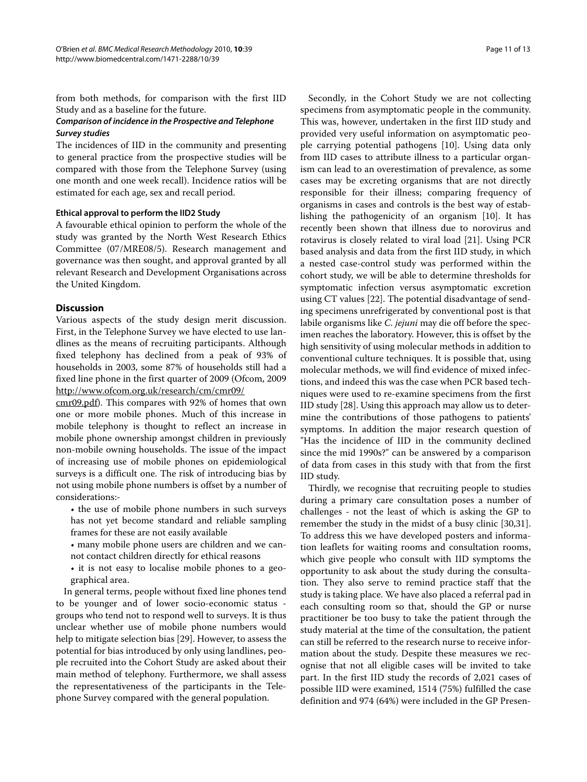from both methods, for comparison with the first IID Study and as a baseline for the future.

#### **Comparison of incidence in the Prospective and Telephone Survey studies**

The incidences of IID in the community and presenting to general practice from the prospective studies will be compared with those from the Telephone Survey (using one month and one week recall). Incidence ratios will be estimated for each age, sex and recall period.

#### **Ethical approval to perform the IID2 Study**

A favourable ethical opinion to perform the whole of the study was granted by the North West Research Ethics Committee (07/MRE08/5). Research management and governance was then sought, and approval granted by all relevant Research and Development Organisations across the United Kingdom.

#### **Discussion**

Various aspects of the study design merit discussion. First, in the Telephone Survey we have elected to use landlines as the means of recruiting participants. Although fixed telephony has declined from a peak of 93% of households in 2003, some 87% of households still had a fixed line phone in the first quarter of 2009 (Ofcom, 2009 [http://www.ofcom.org.uk/research/cm/cmr09/](http://www.ofcom.org.uk/research/cm/cmr09/cmr09.pdf)

[cmr09.pdf\)](http://www.ofcom.org.uk/research/cm/cmr09/cmr09.pdf). This compares with 92% of homes that own one or more mobile phones. Much of this increase in mobile telephony is thought to reflect an increase in mobile phone ownership amongst children in previously non-mobile owning households. The issue of the impact of increasing use of mobile phones on epidemiological surveys is a difficult one. The risk of introducing bias by not using mobile phone numbers is offset by a number of considerations:-

- the use of mobile phone numbers in such surveys has not yet become standard and reliable sampling frames for these are not easily available
- many mobile phone users are children and we cannot contact children directly for ethical reasons
- it is not easy to localise mobile phones to a geographical area.

In general terms, people without fixed line phones tend to be younger and of lower socio-economic status groups who tend not to respond well to surveys. It is thus unclear whether use of mobile phone numbers would help to mitigate selection bias [[29](#page-12-29)]. However, to assess the potential for bias introduced by only using landlines, people recruited into the Cohort Study are asked about their main method of telephony. Furthermore, we shall assess the representativeness of the participants in the Telephone Survey compared with the general population.

Secondly, in the Cohort Study we are not collecting specimens from asymptomatic people in the community. This was, however, undertaken in the first IID study and provided very useful information on asymptomatic people carrying potential pathogens [[10\]](#page-11-7). Using data only from IID cases to attribute illness to a particular organism can lead to an overestimation of prevalence, as some cases may be excreting organisms that are not directly responsible for their illness; comparing frequency of organisms in cases and controls is the best way of establishing the pathogenicity of an organism [\[10](#page-11-7)]. It has recently been shown that illness due to norovirus and rotavirus is closely related to viral load [\[21\]](#page-12-8). Using PCR based analysis and data from the first IID study, in which a nested case-control study was performed within the cohort study, we will be able to determine thresholds for symptomatic infection versus asymptomatic excretion using CT values [[22](#page-12-9)]. The potential disadvantage of sending specimens unrefrigerated by conventional post is that labile organisms like *C. jejuni* may die off before the specimen reaches the laboratory. However, this is offset by the high sensitivity of using molecular methods in addition to conventional culture techniques. It is possible that, using molecular methods, we will find evidence of mixed infections, and indeed this was the case when PCR based techniques were used to re-examine specimens from the first IID study [\[28](#page-12-14)]. Using this approach may allow us to determine the contributions of those pathogens to patients' symptoms. In addition the major research question of "Has the incidence of IID in the community declined since the mid 1990s?" can be answered by a comparison of data from cases in this study with that from the first IID study.

Thirdly, we recognise that recruiting people to studies during a primary care consultation poses a number of challenges - not the least of which is asking the GP to remember the study in the midst of a busy clinic [\[30](#page-12-30)[,31](#page-12-31)]. To address this we have developed posters and information leaflets for waiting rooms and consultation rooms, which give people who consult with IID symptoms the opportunity to ask about the study during the consultation. They also serve to remind practice staff that the study is taking place. We have also placed a referral pad in each consulting room so that, should the GP or nurse practitioner be too busy to take the patient through the study material at the time of the consultation, the patient can still be referred to the research nurse to receive information about the study. Despite these measures we recognise that not all eligible cases will be invited to take part. In the first IID study the records of 2,021 cases of possible IID were examined, 1514 (75%) fulfilled the case definition and 974 (64%) were included in the GP Presen-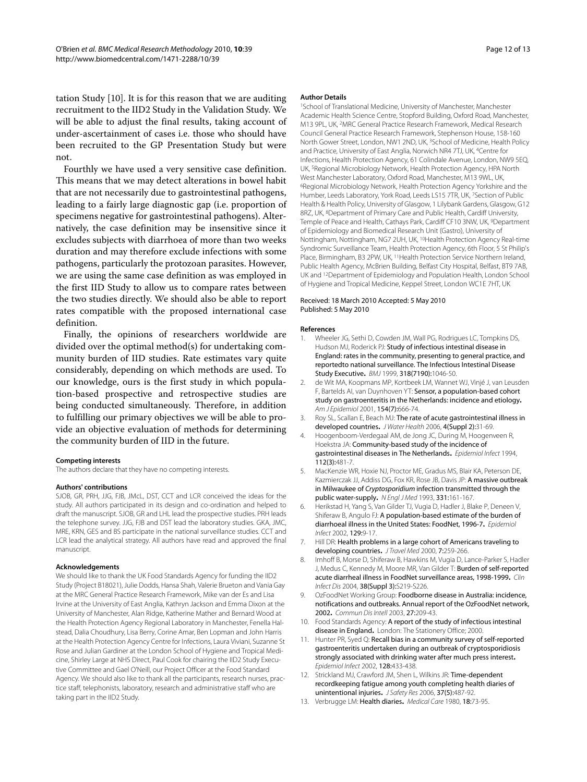tation Study [\[10](#page-11-7)]. It is for this reason that we are auditing recruitment to the IID2 Study in the Validation Study. We will be able to adjust the final results, taking account of under-ascertainment of cases i.e. those who should have been recruited to the GP Presentation Study but were not.

Fourthly we have used a very sensitive case definition. This means that we may detect alterations in bowel habit that are not necessarily due to gastrointestinal pathogens, leading to a fairly large diagnostic gap (i.e. proportion of specimens negative for gastrointestinal pathogens). Alternatively, the case definition may be insensitive since it excludes subjects with diarrhoea of more than two weeks duration and may therefore exclude infections with some pathogens, particularly the protozoan parasites. However, we are using the same case definition as was employed in the first IID Study to allow us to compare rates between the two studies directly. We should also be able to report rates compatible with the proposed international case definition.

Finally, the opinions of researchers worldwide are divided over the optimal method(s) for undertaking community burden of IID studies. Rate estimates vary quite considerably, depending on which methods are used. To our knowledge, ours is the first study in which population-based prospective and retrospective studies are being conducted simultaneously. Therefore, in addition to fulfilling our primary objectives we will be able to provide an objective evaluation of methods for determining the community burden of IID in the future.

#### **Competing interests**

The authors declare that they have no competing interests.

#### **Authors' contributions**

SJOB, GR, PRH, JJG, FJB, JMcL, DST, CCT and LCR conceived the ideas for the study. All authors participated in its design and co-ordination and helped to draft the manuscript. SJOB, GR and LHL lead the prospective studies. PRH leads the telephone survey. JJG, FJB and DST lead the laboratory studies. GKA, JMC, MRE, KRN, GES and BS participate in the national surveillance studies. CCT and LCR lead the analytical strategy. All authors have read and approved the final manuscript.

#### **Acknowledgements**

We should like to thank the UK Food Standards Agency for funding the IID2 Study (Project B18021), Julie Dodds, Hansa Shah, Valerie Brueton and Vania Gay at the MRC General Practice Research Framework, Mike van der Es and Lisa Irvine at the University of East Anglia, Kathryn Jackson and Emma Dixon at the University of Manchester, Alan Ridge, Katherine Mather and Bernard Wood at the Health Protection Agency Regional Laboratory in Manchester, Fenella Halstead, Dalia Choudhury, Lisa Berry, Corine Amar, Ben Lopman and John Harris at the Health Protection Agency Centre for Infections, Laura Viviani, Suzanne St Rose and Julian Gardiner at the London School of Hygiene and Tropical Medicine, Shirley Large at NHS Direct, Paul Cook for chairing the IID2 Study Executive Committee and Gael O'Neill, our Project Officer at the Food Standard Agency. We should also like to thank all the participants, research nurses, practice staff, telephonists, laboratory, research and administrative staff who are taking part in the IID2 Study.

#### **Author Details**

1School of Translational Medicine, University of Manchester, Manchester Academic Health Science Centre, Stopford Building, Oxford Road, Manchester, M13 9PL, UK, 2MRC General Practice Research Framework, Medical Research Council General Practice Research Framework, Stephenson House, 158-160 North Gower Street, London, NW1 2ND, UK, 3School of Medicine, Health Policy and Practice, University of East Anglia, Norwich NR4 7TJ, UK, 4Centre for Infections, Health Protection Agency, 61 Colindale Avenue, London, NW9 5EQ, UK, 5Regional Microbiology Network, Health Protection Agency, HPA North West Manchester Laboratory, Oxford Road, Manchester, M13 9WL, UK, 6Regional Microbiology Network, Health Protection Agency Yorkshire and the Humber, Leeds Laboratory, York Road, Leeds LS15 7TR, UK, 7Section of Public Health & Health Policy, University of Glasgow, 1 Lilybank Gardens, Glasgow, G12 8RZ, UK, 8Department of Primary Care and Public Health, Cardiff University, Temple of Peace and Health, Cathays Park, Cardiff CF10 3NW, UK, 9Department of Epidemiology and Biomedical Research Unit (Gastro), University of Nottingham, Nottingham, NG7 2UH, UK, 10Health Protection Agency Real-time Syndromic Surveillance Team, Health Protection Agency, 6th Floor, 5 St Philip's Place, Birmingham, B3 2PW, UK, <sup>11</sup>Health Protection Service Northern Ireland, Public Health Agency, McBrien Building, Belfast City Hospital, Belfast, BT9 7AB, UK and 12Department of Epidemiology and Population Health, London School of Hygiene and Tropical Medicine, Keppel Street, London WC1E 7HT, UK

#### Received: 18 March 2010 Accepted: 5 May 2010 Published: 5 May 2010

#### **References**

- <span id="page-11-0"></span>1. Wheeler JG, Sethi D, Cowden JM, Wall PG, Rodrigues LC, Tompkins DS, Hudson MJ, Roderick PJ: Study of infectious intestinal disease in England: rates in the community, presenting to general practice, and reportedto national surveillance. The Infectious Intestinal Disease Study Executive**.** BMJ 1999, 318(7190):1046-50.
- <span id="page-11-1"></span>2. de Wit MA, Koopmans MP, Kortbeek LM, Wannet WJ, Vinjé J, van Leusden F, Bartelds AI, van Duynhoven YT: Sensor, a population-based cohort study on gastroenteritis in the Netherlands: incidence and etiology**[.](http://www.ncbi.nlm.nih.gov/entrez/query.fcgi?cmd=Retrieve&db=PubMed&dopt=Abstract&list_uids=11581101)** Am J Epidemiol 2001, 154(7):666-74.
- <span id="page-11-2"></span>3. Roy SL, Scallan E, Beach MJ: The rate of acute gastrointestinal illness in developed countries**.** J Water Health 2006, 4(Suppl 2):31-69.
- <span id="page-11-3"></span>4. Hoogenboom-Verdegaal AM, de Jong JC, During M, Hoogenveen R, Hoekstra JA: Community-based study of the incidence of gastrointestinal diseases in The Netherlands**[.](http://www.ncbi.nlm.nih.gov/entrez/query.fcgi?cmd=Retrieve&db=PubMed&dopt=Abstract&list_uids=8005214)** Epidemiol Infect 1994, 112(3):481-7.
- 5. MacKenzie WR, Hoxie NJ, Proctor ME, Gradus MS, Blair KA, Peterson DE, Kazmierczak JJ, Addiss DG, Fox KR, Rose JB, Davis JP: A massive outbreak in Milwaukee of Cryptosporidium infection transmitted through the public water-supply**.** N Engl J Med 1993, 331:161-167.
- <span id="page-11-5"></span>6. Herikstad H, Yang S, Van Gilder TJ, Vugia D, Hadler J, Blake P, Deneen V, Shiferaw B, Angulo FJ: A population-based estimate of the burden of diarrhoeal illness in the United States: FoodNet, 1996-7**.** Epidemiol Infect 2002, 129:9-17.
- 7. Hill DR: Health problems in a large cohort of Americans traveling to developing countries**.** J Travel Med 2000, 7:259-266.
- <span id="page-11-4"></span>Imhoff B, Morse D, Shiferaw B, Hawkins M, Vugia D, Lance-Parker S, Hadler J, Medus C, Kennedy M, Moore MR, Van Gilder T: Burden of self-reported acute diarrheal illness in FoodNet surveillance areas, 1998-1999**.** Clin Infect Dis 2004, 38(Suppl 3):S219-S226.
- <span id="page-11-6"></span>9. OzFoodNet Working Group: Foodborne disease in Australia: incidence, notifications and outbreaks. Annual report of the OzFoodNet network, 2002**.** Commun Dis Intell 2003, 27:209-43.
- <span id="page-11-7"></span>10. Food Standards Agency: A report of the study of infectious intestinal disease in England**.** London: The Stationery Office; 2000.
- <span id="page-11-8"></span>11. Hunter PR, Syed Q: Recall bias in a community survey of self-reported gastroenteritis undertaken during an outbreak of cryptosporidiosis strongly associated with drinking water after much press interest**.** Epidemiol Infect 2002, 128:433-438.
- <span id="page-11-9"></span>12. Strickland MJ, Crawford JM, Shen L, Wilkins JR: Time-dependent recordkeeping fatigue among youth completing health diaries of unintentional injuries**[.](http://www.ncbi.nlm.nih.gov/entrez/query.fcgi?cmd=Retrieve&db=PubMed&dopt=Abstract&list_uids=17126366)** J Safety Res 2006, 37(5):487-92.
- <span id="page-11-10"></span>13. Verbrugge LM: Health diaries**.** Medical Care 1980, 18:73-95.